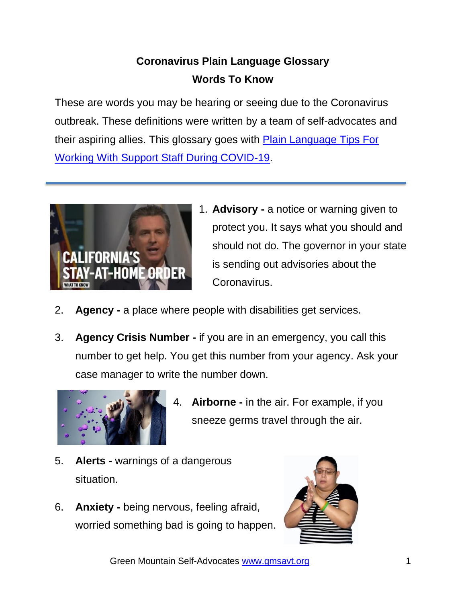## **Coronavirus Plain Language Glossary Words To Know**

These are words you may be hearing or seeing due to the Coronavirus outbreak. These definitions were written by a team of self-advocates and their aspiring allies. This glossary goes with [Plain Language Tips For](https://selfadvocacyinfo.org/wp-content/uploads/2020/03/Plain-Language-Tips-For-Working-With-Support-Staff-During-COVID-19-March-30-2020.pdf) [Working With Support Staff During COVID-19.](https://selfadvocacyinfo.org/wp-content/uploads/2020/03/Plain-Language-Tips-For-Working-With-Support-Staff-During-COVID-19-March-30-2020.pdf)



- 1. **Advisory -** a notice or warning given to protect you. It says what you should and should not do. The governor in your state is sending out advisories about the Coronavirus.
- 2. **Agency -** a place where people with disabilities get services.
- 3. **Agency Crisis Number -** if you are in an emergency, you call this number to get help. You get this number from your agency. Ask your case manager to write the number down.



- 4. **Airborne -** in the air. For example, if you sneeze germs travel through the air.
- 5. **Alerts -** warnings of a dangerous situation.
- 6. **Anxiety -** being nervous, feeling afraid, worried something bad is going to happen.

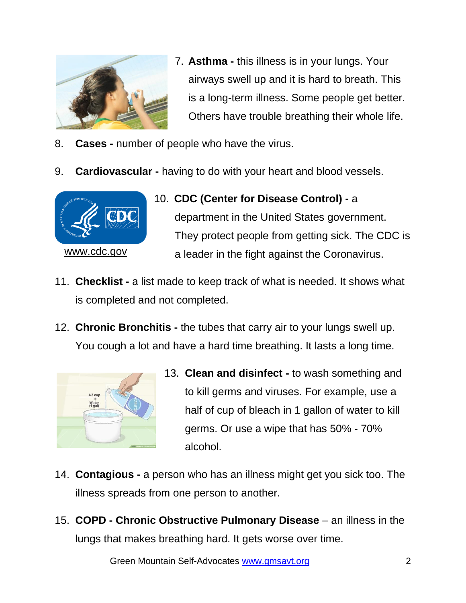

- 7. **Asthma -** this illness is in your lungs. Your airways swell up and it is hard to breath. This is a long-term illness. Some people get better. Others have trouble breathing their whole life.
- 8. **Cases -** number of people who have the virus.
- 9. **Cardiovascular -** having to do with your heart and blood vessels.



- 10. **CDC (Center for Disease Control) -** a department in the United States government. They protect people from getting sick. The CDC is a leader in the fight against the Coronavirus.
- 11. **Checklist -** a list made to keep track of what is needed. It shows what is completed and not completed.
- 12. **Chronic Bronchitis -** the tubes that carry air to your lungs swell up. You cough a lot and have a hard time breathing. It lasts a long time.



- 13. **Clean and disinfect -** to wash something and to kill germs and viruses. For example, use a half of cup of bleach in 1 gallon of water to kill germs. Or use a wipe that has 50% - 70% alcohol.
- 14. **Contagious -** a person who has an illness might get you sick too. The illness spreads from one person to another.
- 15. **COPD - Chronic Obstructive Pulmonary Disease** an illness in the lungs that makes breathing hard. It gets worse over time.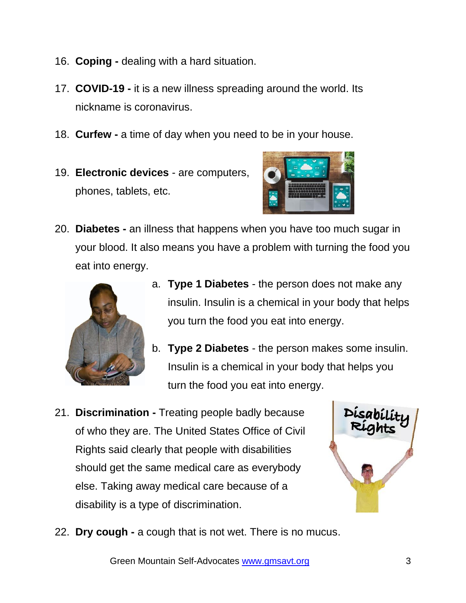- 16. **Coping -** dealing with a hard situation.
- 17. **COVID-19 -** it is a new illness spreading around the world. Its nickname is coronavirus.
- 18. **Curfew -** a time of day when you need to be in your house.
- 19. **Electronic devices** are computers, phones, tablets, etc.



20. **Diabetes -** an illness that happens when you have too much sugar in your blood. It also means you have a problem with turning the food you eat into energy.



- a. **Type 1 Diabetes**  the person does not make any insulin. Insulin is a chemical in your body that helps you turn the food you eat into energy.
- b. **Type 2 Diabetes**  the person makes some insulin. Insulin is a chemical in your body that helps you turn the food you eat into energy.
- 21. **Discrimination -** Treating people badly because of who they are. The United States Office of Civil Rights said clearly that people with disabilities should get the same medical care as everybody else. Taking away medical care because of a disability is a type of discrimination.



22. **Dry cough -** a cough that is not wet. There is no mucus.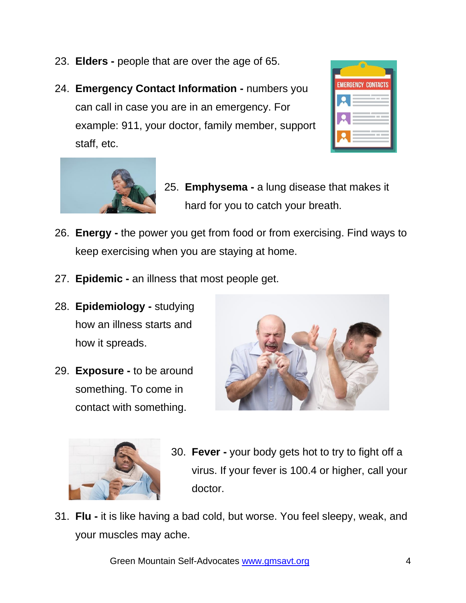- 23. **Elders -** people that are over the age of 65.
- 24. **Emergency Contact Information -** numbers you can call in case you are in an emergency. For example: 911, your doctor, family member, support staff, etc.





- 25. **Emphysema -** a lung disease that makes it hard for you to catch your breath.
- 26. **Energy -** the power you get from food or from exercising. Find ways to keep exercising when you are staying at home.
- 27. **Epidemic -** an illness that most people get.
- 28. **Epidemiology -** studying how an illness starts and how it spreads.
- 29. **Exposure -** to be around something. To come in contact with something.





- 30. **Fever -** your body gets hot to try to fight off a virus. If your fever is 100.4 or higher, call your doctor.
- 31. **Flu -** it is like having a bad cold, but worse. You feel sleepy, weak, and your muscles may ache.

Green Mountain Self-Advocates [www.gmsavt.org](http://www.gmsavt.org/) 4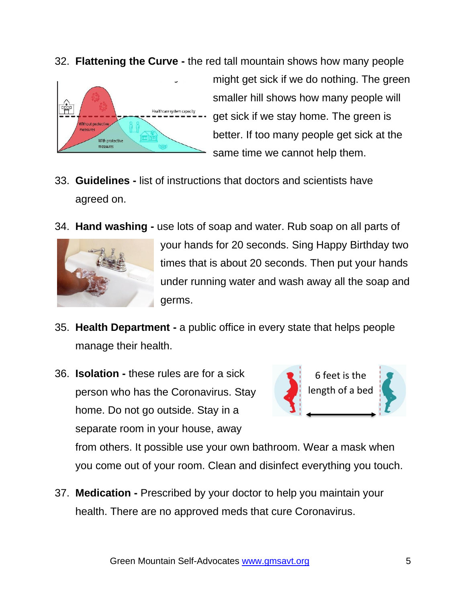32. **Flattening the Curve -** the red tall mountain shows how many people



might get sick if we do nothing. The green smaller hill shows how many people will get sick if we stay home. The green is better. If too many people get sick at the same time we cannot help them.

- 33. **Guidelines -** list of instructions that doctors and scientists have agreed on.
- 34. **Hand washing -** use lots of soap and water. Rub soap on all parts of



your hands for 20 seconds. Sing Happy Birthday two times that is about 20 seconds. Then put your hands under running water and wash away all the soap and germs.

- 35. **Health Department -** a public office in every state that helps people manage their health.
- 36. **Isolation -** these rules are for a sick person who has the Coronavirus. Stay home. Do not go outside. Stay in a separate room in your house, away



from others. It possible use your own bathroom. Wear a mask when you come out of your room. Clean and disinfect everything you touch.

37. **Medication -** Prescribed by your doctor to help you maintain your health. There are no approved meds that cure Coronavirus.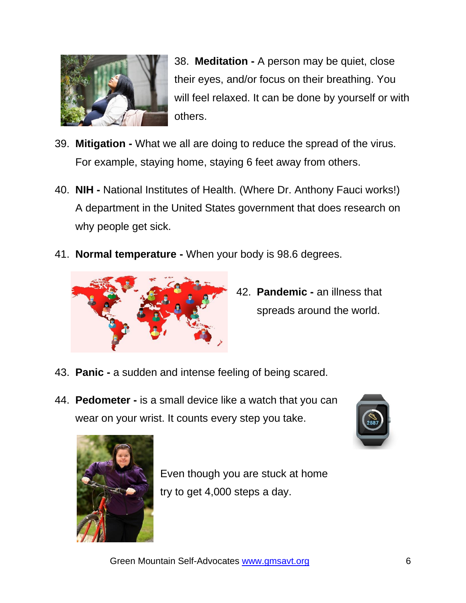

38. **Meditation -** A person may be quiet, close their eyes, and/or focus on their breathing. You will feel relaxed. It can be done by yourself or with others.

- 39. **Mitigation -** What we all are doing to reduce the spread of the virus. For example, staying home, staying 6 feet away from others.
- 40. **NIH -** National Institutes of Health. (Where Dr. Anthony Fauci works!) A department in the United States government that does research on why people get sick.
- 41. **Normal temperature -** When your body is 98.6 degrees.



- 42. **Pandemic -** an illness that spreads around the world.
- 43. **Panic -** a sudden and intense feeling of being scared.
- 44. **Pedometer -** is a small device like a watch that you can wear on your wrist. It counts every step you take.





Even though you are stuck at home try to get 4,000 steps a day.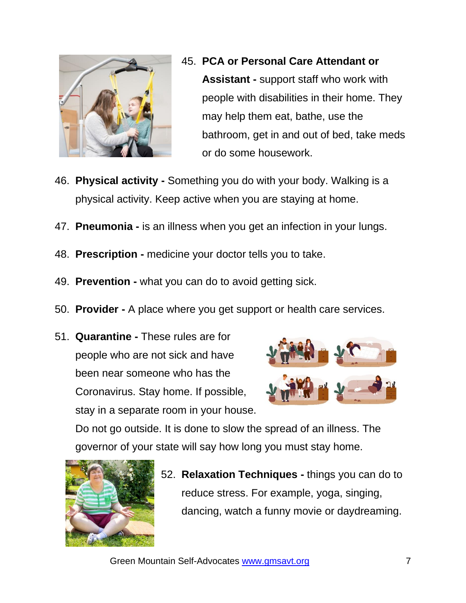

- 45. **PCA or Personal Care Attendant or Assistant -** support staff who work with people with disabilities in their home. They may help them eat, bathe, use the bathroom, get in and out of bed, take meds or do some housework.
- 46. **Physical activity -** Something you do with your body. Walking is a physical activity. Keep active when you are staying at home.
- 47. **Pneumonia -** is an illness when you get an infection in your lungs.
- 48. **Prescription -** medicine your doctor tells you to take.
- 49. **Prevention -** what you can do to avoid getting sick.
- 50. **Provider -** A place where you get support or health care services.
- 51. **Quarantine -** These rules are for people who are not sick and have been near someone who has the Coronavirus. Stay home. If possible, stay in a separate room in your house.



Do not go outside. It is done to slow the spread of an illness. The governor of your state will say how long you must stay home.



52. **Relaxation Techniques -** things you can do to reduce stress. For example, yoga, singing, dancing, watch a funny movie or daydreaming.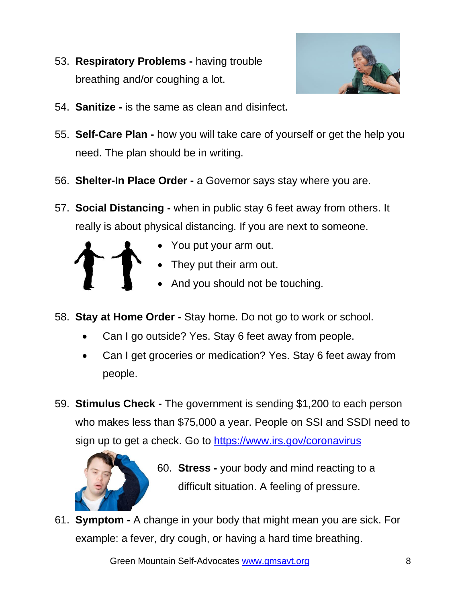53. **Respiratory Problems -** having trouble breathing and/or coughing a lot.



- 54. **Sanitize -** is the same as clean and disinfect**.**
- 55. **Self-Care Plan -** how you will take care of yourself or get the help you need. The plan should be in writing.
- 56. **Shelter-In Place Order -** a Governor says stay where you are.
- 57. **Social Distancing -** when in public stay 6 feet away from others. It really is about physical distancing. If you are next to someone.



- You put your arm out.
- They put their arm out.
- And you should not be touching.
- 58. **Stay at Home Order -** Stay home. Do not go to work or school.
	- Can I go outside? Yes. Stay 6 feet away from people.
	- Can I get groceries or medication? Yes. Stay 6 feet away from people.
- 59. **Stimulus Check -** The government is sending \$1,200 to each person who makes less than \$75,000 a year. People on SSI and SSDI need to sign up to get a check. Go to<https://www.irs.gov/coronavirus>



- 60. **Stress -** your body and mind reacting to a difficult situation. A feeling of pressure.
- 61. **Symptom -** A change in your body that might mean you are sick. For example: a fever, dry cough, or having a hard time breathing.

Green Mountain Self-Advocates [www.gmsavt.org](http://www.gmsavt.org/) and a series are a series of 8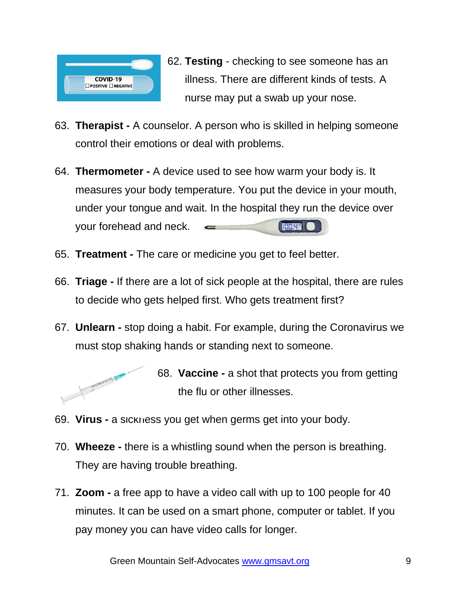

62. **Testing** - checking to see someone has an illness. There are different kinds of tests. A nurse may put a swab up your nose.

- 63. **Therapist -** A counselor. A person who is skilled in helping someone control their emotions or deal with problems.
- 64. **Thermometer -** A device used to see how warm your body is. It measures your body temperature. You put the device in your mouth, under your tongue and wait. In the hospital they run the device over your forehead and neck. 199.4\*
- 65. **Treatment -** The care or medicine you get to feel better.
- 66. **Triage -** If there are a lot of sick people at the hospital, there are rules to decide who gets helped first. Who gets treatment first?
- 67. **Unlearn -** stop doing a habit. For example, during the Coronavirus we must stop shaking hands or standing next to someone.



68. **Vaccine -** a shot that protects you from getting the flu or other illnesses.

- 69. **Virus -** a sickness you get when germs get into your body.
- 70. **Wheeze -** there is a whistling sound when the person is breathing. They are having trouble breathing.
- 71. **Zoom -** a free app to have a video call with up to 100 people for 40 minutes. It can be used on a smart phone, computer or tablet. If you pay money you can have video calls for longer.